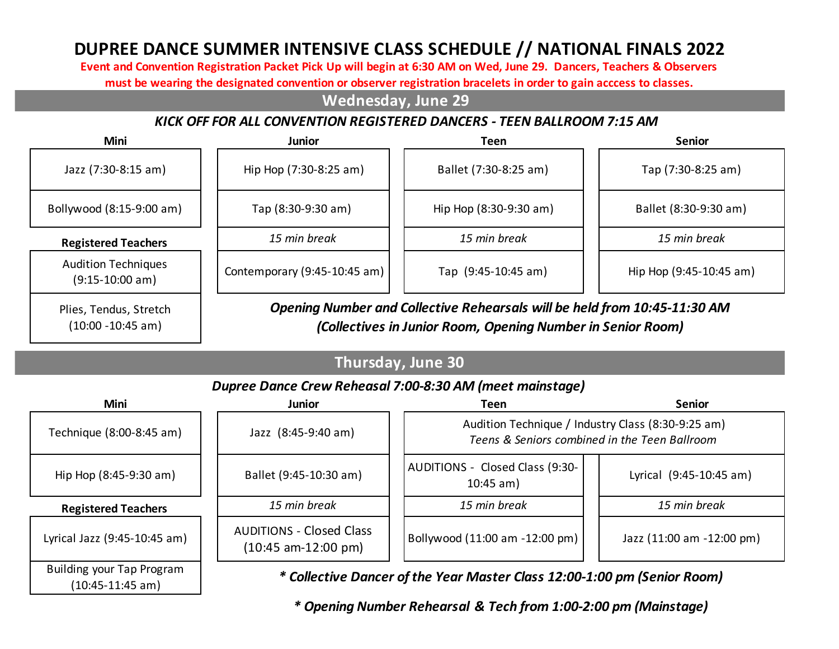# **DUPREE DANCE SUMMER INTENSIVE CLASS SCHEDULE // NATIONAL FINALS 2022**

**Event and Convention Registration Packet Pick Up will begin at 6:30 AM on Wed, June 29. Dancers, Teachers & Observers** 

**must be wearing the designated convention or observer registration bracelets in order to gain acccess to classes.** 

#### **Wednesday, June 29**

#### *KICK OFF FOR ALL CONVENTION REGISTERED DANCERS - TEEN BALLROOM 7:15 AM*

| Mini                                            | <b>Junior</b>                | Teen                                                                         | <b>Senior</b>           |
|-------------------------------------------------|------------------------------|------------------------------------------------------------------------------|-------------------------|
| Jazz (7:30-8:15 am)                             | Hip Hop (7:30-8:25 am)       | Ballet (7:30-8:25 am)                                                        | Tap (7:30-8:25 am)      |
| Bollywood (8:15-9:00 am)                        | Tap (8:30-9:30 am)           | Hip Hop (8:30-9:30 am)                                                       | Ballet (8:30-9:30 am)   |
| <b>Registered Teachers</b>                      | 15 min break                 | 15 min break                                                                 | 15 min break            |
| <b>Audition Techniques</b><br>$(9:15-10:00 am)$ | Contemporary (9:45-10:45 am) | Tap (9:45-10:45 am)                                                          | Hip Hop (9:45-10:45 am) |
| Dline Tondue Strotch                            |                              | Opening Number and Collective Rebearsals will be held from $10.45$ -11:30 AM |                         |

Plies, Tendus, Stretch (10:00 -10:45 am)

*Opening Number and Collective Rehearsals will be held from 10:45-11:30 AM (Collectives in Junior Room, Opening Number in Senior Room)* 

## **Thursday, June 30**

#### *Dupree Dance Crew Reheasal 7:00-8:30 AM (meet mainstage)*

| <b>Mini</b>                                            | <b>Junior</b>                                            | Teen                                                                                                | <b>Senior</b>             |
|--------------------------------------------------------|----------------------------------------------------------|-----------------------------------------------------------------------------------------------------|---------------------------|
| Technique (8:00-8:45 am)                               | Jazz (8:45-9:40 am)                                      | Audition Technique / Industry Class (8:30-9:25 am)<br>Teens & Seniors combined in the Teen Ballroom |                           |
| Hip Hop (8:45-9:30 am)                                 | Ballet (9:45-10:30 am)                                   | AUDITIONS - Closed Class (9:30-<br>$10:45$ am)                                                      | Lyrical (9:45-10:45 am)   |
| <b>Registered Teachers</b>                             | 15 min break                                             | 15 min break                                                                                        | 15 min break              |
| Lyrical Jazz (9:45-10:45 am)                           | <b>AUDITIONS - Closed Class</b><br>$(10:45$ am-12:00 pm) | Bollywood (11:00 am -12:00 pm)                                                                      | Jazz (11:00 am -12:00 pm) |
| <b>Building your Tap Program</b><br>$(10:45-11:45 am)$ |                                                          | * Collective Dancer of the Year Master Class 12:00-1:00 pm (Senior Room)                            |                           |

*\* Opening Number Rehearsal & Tech from 1:00-2:00 pm (Mainstage)*